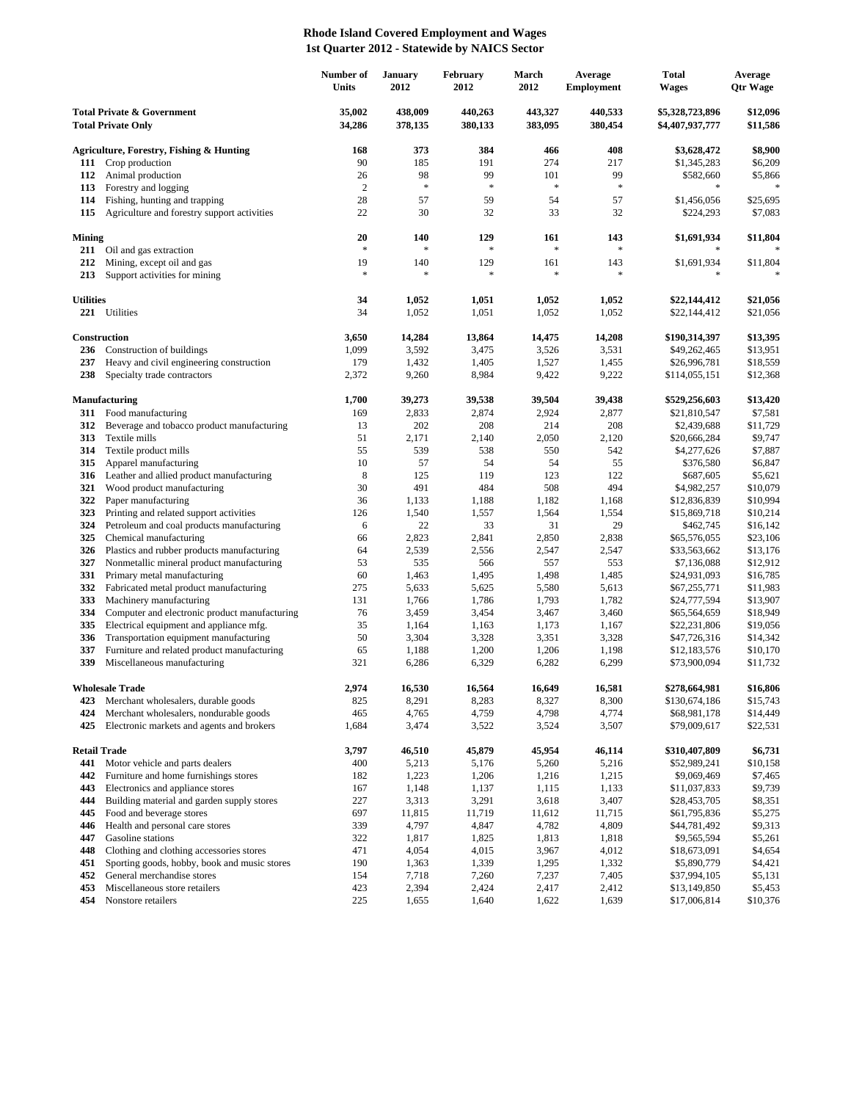## **Rhode Island Covered Employment and Wages 1st Quarter 2012 - Statewide by NAICS Sector**

|                                                                    |                                                                                     | Number of<br>Units | <b>January</b><br>2012 | February<br>2012   | March<br>2012      | Average<br><b>Employment</b> | Total<br><b>Wages</b>              | Average<br><b>Qtr Wage</b> |
|--------------------------------------------------------------------|-------------------------------------------------------------------------------------|--------------------|------------------------|--------------------|--------------------|------------------------------|------------------------------------|----------------------------|
| <b>Total Private &amp; Government</b><br><b>Total Private Only</b> |                                                                                     | 35,002<br>34,286   | 438,009<br>378,135     | 440,263<br>380,133 | 443,327<br>383,095 | 440,533<br>380,454           | \$5,328,723,896<br>\$4,407,937,777 | \$12,096<br>\$11,586       |
|                                                                    | <b>Agriculture, Forestry, Fishing &amp; Hunting</b>                                 | 168                | 373                    | 384                | 466                | 408                          | \$3,628,472                        | \$8,900                    |
| 111                                                                | Crop production                                                                     | 90                 | 185                    | 191                | 274                | 217                          | \$1,345,283                        | \$6,209                    |
| 112                                                                | Animal production                                                                   | 26                 | 98                     | 99                 | 101                | 99                           | \$582,660                          | \$5,866                    |
| 113                                                                | Forestry and logging                                                                | $\overline{c}$     | $\ast$                 | $\ast$             | $\ast$             | $\ast$                       |                                    |                            |
| 114                                                                | Fishing, hunting and trapping                                                       | 28                 | 57                     | 59                 | 54                 | 57                           | \$1,456,056                        | \$25,695                   |
| 115                                                                | Agriculture and forestry support activities                                         | 22                 | 30                     | 32                 | 33                 | 32                           | \$224,293                          | \$7,083                    |
| <b>Mining</b>                                                      |                                                                                     | 20                 | 140                    | 129                | 161                | 143                          | \$1,691,934                        | \$11,804                   |
| 211                                                                | Oil and gas extraction                                                              | $\ast$             | *                      | *                  | $\ast$             | $\ast$                       |                                    |                            |
| 212                                                                | Mining, except oil and gas                                                          | 19                 | 140                    | 129                | 161                | 143                          | \$1,691,934                        | \$11,804                   |
| 213                                                                | Support activities for mining                                                       | $\frac{1}{2}$      | *                      | $\frac{1}{2}$      | $\ast$             | $\ast$                       |                                    |                            |
| <b>Utilities</b>                                                   |                                                                                     | 34                 | 1,052                  | 1,051              | 1,052              | 1,052                        | \$22,144,412                       | \$21,056                   |
|                                                                    | 221 Utilities                                                                       | 34                 | 1,052                  | 1,051              | 1,052              | 1,052                        | \$22,144,412                       | \$21,056                   |
|                                                                    | Construction                                                                        | 3,650              | 14,284                 | 13,864             | 14,475             | 14,208                       |                                    | \$13,395                   |
| 236                                                                | Construction of buildings                                                           | 1,099              | 3,592                  | 3,475              | 3,526              | 3,531                        | \$190,314,397<br>\$49,262,465      | \$13,951                   |
| 237                                                                | Heavy and civil engineering construction                                            | 179                | 1,432                  | 1,405              | 1,527              | 1,455                        | \$26,996,781                       | \$18,559                   |
| 238                                                                | Specialty trade contractors                                                         | 2,372              | 9,260                  | 8,984              | 9,422              | 9,222                        | \$114,055,151                      | \$12,368                   |
|                                                                    | <b>Manufacturing</b>                                                                | 1,700              | 39,273                 | 39,538             | 39,504             | 39,438                       | \$529,256,603                      | \$13,420                   |
| 311                                                                | Food manufacturing                                                                  | 169                | 2,833                  | 2,874              | 2,924              | 2,877                        | \$21,810,547                       | \$7,581                    |
| 312                                                                | Beverage and tobacco product manufacturing                                          | 13                 | 202                    | 208                | 214                | 208                          | \$2,439,688                        | \$11,729                   |
| 313                                                                | Textile mills                                                                       | 51                 | 2,171                  | 2,140              | 2,050              | 2,120                        | \$20,666,284                       | \$9,747                    |
| 314                                                                | Textile product mills                                                               | 55                 | 539                    | 538                | 550                | 542                          | \$4,277,626                        | \$7,887                    |
| 315                                                                | Apparel manufacturing                                                               | 10                 | 57                     | 54                 | 54                 | 55                           | \$376,580                          | \$6,847                    |
| 316                                                                | Leather and allied product manufacturing                                            | 8                  | 125                    | 119                | 123                | 122                          | \$687,605                          | \$5,621                    |
| 321                                                                | Wood product manufacturing                                                          | 30                 | 491                    | 484                | 508                | 494                          | \$4,982,257                        | \$10,079                   |
| 322                                                                | Paper manufacturing                                                                 | 36                 | 1,133                  | 1,188              | 1,182              | 1,168                        | \$12,836,839                       | \$10,994                   |
| 323                                                                | Printing and related support activities                                             | 126                | 1,540                  | 1,557              | 1,564              | 1,554                        | \$15,869,718                       | \$10,214                   |
| 324                                                                | Petroleum and coal products manufacturing                                           | 6                  | 22                     | 33                 | 31                 | 29                           | \$462,745                          | \$16,142                   |
| 325<br>326                                                         | Chemical manufacturing<br>Plastics and rubber products manufacturing                | 66<br>64           | 2,823<br>2,539         | 2,841<br>2,556     | 2,850<br>2,547     | 2,838<br>2,547               | \$65,576,055<br>\$33,563,662       | \$23,106<br>\$13,176       |
| 327                                                                | Nonmetallic mineral product manufacturing                                           | 53                 | 535                    | 566                | 557                | 553                          | \$7,136,088                        | \$12,912                   |
| 331                                                                | Primary metal manufacturing                                                         | 60                 | 1,463                  | 1,495              | 1,498              | 1,485                        | \$24,931,093                       | \$16,785                   |
| 332                                                                | Fabricated metal product manufacturing                                              | 275                | 5,633                  | 5,625              | 5,580              | 5,613                        | \$67,255,771                       | \$11,983                   |
| 333                                                                | Machinery manufacturing                                                             | 131                | 1,766                  | 1,786              | 1,793              | 1,782                        | \$24,777,594                       | \$13,907                   |
| 334                                                                | Computer and electronic product manufacturing                                       | 76                 | 3,459                  | 3,454              | 3,467              | 3,460                        | \$65,564,659                       | \$18,949                   |
| 335                                                                | Electrical equipment and appliance mfg.                                             | 35                 | 1,164                  | 1,163              | 1,173              | 1,167                        | \$22,231,806                       | \$19,056                   |
| 336                                                                | Transportation equipment manufacturing                                              | 50                 | 3,304                  | 3,328              | 3,351              | 3,328                        | \$47,726,316                       | \$14,342                   |
| 337                                                                | Furniture and related product manufacturing                                         | 65                 | 1,188                  | 1,200              | 1,206              | 1,198                        | \$12,183,576                       | \$10,170                   |
| 339                                                                | Miscellaneous manufacturing                                                         | 321                | 6,286                  | 6,329              | 6,282              | 6,299                        | \$73,900,094                       | \$11,732                   |
|                                                                    | <b>Wholesale Trade</b>                                                              | 2,974              | 16,530                 | 16.564             | 16,649             | 16,581                       | \$278,664,981                      | \$16,806                   |
| 423                                                                | Merchant wholesalers, durable goods                                                 | 825                | 8,291                  | 8,283              | 8,327              | 8,300                        | \$130,674,186                      | \$15,743                   |
| 424<br>425                                                         | Merchant wholesalers, nondurable goods<br>Electronic markets and agents and brokers | 465<br>1,684       | 4,765<br>3,474         | 4,759<br>3,522     | 4,798<br>3,524     | 4,774<br>3,507               | \$68,981,178<br>\$79,009,617       | \$14,449<br>\$22,531       |
|                                                                    |                                                                                     |                    |                        |                    |                    |                              |                                    |                            |
| <b>Retail Trade</b>                                                |                                                                                     | 3,797              | 46,510                 | 45,879             | 45,954             | 46,114                       | \$310,407,809                      | \$6,731                    |
| 441                                                                | Motor vehicle and parts dealers                                                     | 400                | 5,213                  | 5,176              | 5,260              | 5,216                        | \$52,989,241                       | \$10,158                   |
| 442<br>443                                                         | Furniture and home furnishings stores<br>Electronics and appliance stores           | 182<br>167         | 1,223<br>1,148         | 1,206<br>1,137     | 1,216<br>1,115     | 1,215<br>1,133               | \$9,069,469<br>\$11,037,833        | \$7,465<br>\$9,739         |
| 444                                                                | Building material and garden supply stores                                          | 227                | 3,313                  | 3,291              | 3,618              | 3,407                        | \$28,453,705                       | \$8,351                    |
| 445                                                                | Food and beverage stores                                                            | 697                | 11,815                 | 11,719             | 11,612             | 11,715                       | \$61,795,836                       | \$5,275                    |
| 446                                                                | Health and personal care stores                                                     | 339                | 4,797                  | 4,847              | 4,782              | 4,809                        | \$44,781,492                       | \$9,313                    |
| 447                                                                | Gasoline stations                                                                   | 322                | 1,817                  | 1,825              | 1,813              | 1,818                        | \$9,565,594                        | \$5,261                    |
| 448                                                                | Clothing and clothing accessories stores                                            | 471                | 4,054                  | 4,015              | 3,967              | 4,012                        | \$18,673,091                       | \$4,654                    |
| 451                                                                | Sporting goods, hobby, book and music stores                                        | 190                | 1,363                  | 1,339              | 1,295              | 1,332                        | \$5,890,779                        | \$4,421                    |
| 452                                                                | General merchandise stores                                                          | 154                | 7,718                  | 7,260              | 7,237              | 7,405                        | \$37,994,105                       | \$5,131                    |
| 453                                                                | Miscellaneous store retailers                                                       | 423                | 2,394                  | 2,424              | 2,417              | 2,412                        | \$13,149,850                       | \$5,453                    |
| 454                                                                | Nonstore retailers                                                                  | 225                | 1,655                  | 1,640              | 1,622              | 1,639                        | \$17,006,814                       | \$10,376                   |